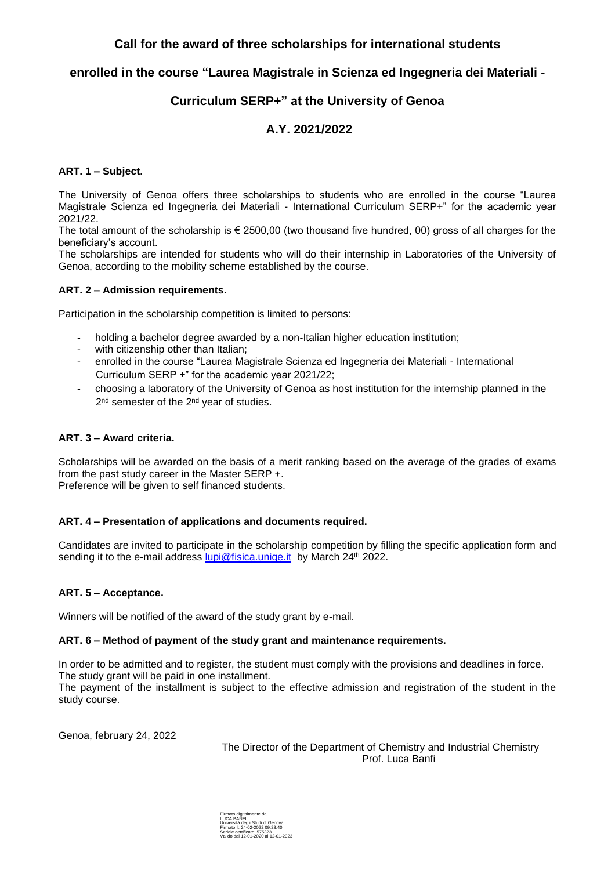### **Call for the award of three scholarships for international students**

### **enrolled in the course "Laurea Magistrale in Scienza ed Ingegneria dei Materiali -**

## **Curriculum SERP+" at the University of Genoa**

# **A.Y. 2021/2022**

### **ART. 1 – Subject.**

The University of Genoa offers three scholarships to students who are enrolled in the course "Laurea Magistrale Scienza ed Ingegneria dei Materiali - International Curriculum SERP+" for the academic year 2021/22.

The total amount of the scholarship is  $\epsilon$  2500,00 (two thousand five hundred, 00) gross of all charges for the beneficiary's account.

The scholarships are intended for students who will do their internship in Laboratories of the University of Genoa, according to the mobility scheme established by the course.

#### **ART. 2 – Admission requirements.**

Participation in the scholarship competition is limited to persons:

- holding a bachelor degree awarded by a non-Italian higher education institution;
- with citizenship other than Italian;
- enrolled in the course "Laurea Magistrale Scienza ed Ingegneria dei Materiali International Curriculum SERP +" for the academic year 2021/22;
- choosing a laboratory of the University of Genoa as host institution for the internship planned in the 2<sup>nd</sup> semester of the 2<sup>nd</sup> year of studies.

### **ART. 3 – Award criteria.**

Scholarships will be awarded on the basis of a merit ranking based on the average of the grades of exams from the past study career in the Master SERP +.

Preference will be given to self financed students.

#### **ART. 4 – Presentation of applications and documents required.**

Candidates are invited to participate in the scholarship competition by filling the specific application form and sending it to the e-mail address [lupi@fisica.unige.it](mailto:lupi@fisica.unige.it) by March 24<sup>th</sup> 2022.

#### **ART. 5 – Acceptance.**

Winners will be notified of the award of the study grant by e-mail.

#### **ART. 6 – Method of payment of the study grant and maintenance requirements.**

In order to be admitted and to register, the student must comply with the provisions and deadlines in force. The study grant will be paid in one installment.

The payment of the installment is subject to the effective admission and registration of the student in the study course.

Genoa, february 24, 2022

The Director of the Department of Chemistry and Industrial Chemistry Prof. Luca Banfi

Firmato digitalmente da: LUCA BANFI Università degli Studi di Genova Firmato il: 24-02-2022 09:23:40 Seriale certificato: 575323 Valido dal 12-01-2020 al 12-01-2023